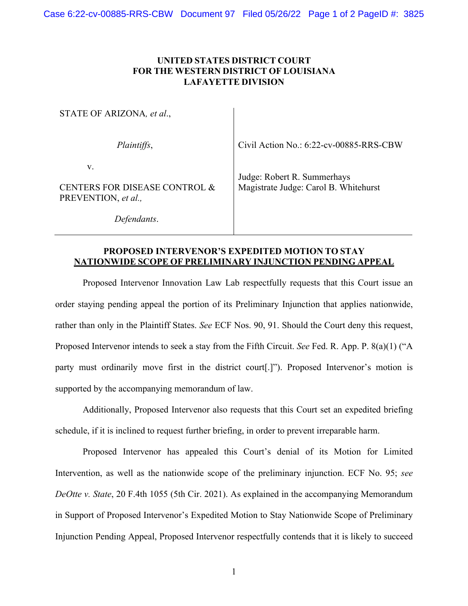## **UNITED STATES DISTRICT COURT FOR THE WESTERN DISTRICT OF LOUISIANA LAFAYETTE DIVISION**

| STATE OF ARIZONA, et al.,                                  |                                                                      |
|------------------------------------------------------------|----------------------------------------------------------------------|
| Plaintiffs,                                                | Civil Action No.: 6:22-cv-00885-RRS-CBW                              |
| V.<br>CENTERS FOR DISEASE CONTROL &<br>PREVENTION, et al., | Judge: Robert R. Summerhays<br>Magistrate Judge: Carol B. Whitehurst |
| Defendants.                                                |                                                                      |

## **PROPOSED INTERVENOR'S EXPEDITED MOTION TO STAY NATIONWIDE SCOPE OF PRELIMINARY INJUNCTION PENDING APPEAL**

Proposed Intervenor Innovation Law Lab respectfully requests that this Court issue an order staying pending appeal the portion of its Preliminary Injunction that applies nationwide, rather than only in the Plaintiff States. *See* ECF Nos. 90, 91. Should the Court deny this request, Proposed Intervenor intends to seek a stay from the Fifth Circuit. *See* Fed. R. App. P. 8(a)(1) ("A party must ordinarily move first in the district court[.]"). Proposed Intervenor's motion is supported by the accompanying memorandum of law.

Additionally, Proposed Intervenor also requests that this Court set an expedited briefing schedule, if it is inclined to request further briefing, in order to prevent irreparable harm.

Proposed Intervenor has appealed this Court's denial of its Motion for Limited Intervention, as well as the nationwide scope of the preliminary injunction. ECF No. 95; *see DeOtte v. State*, 20 F.4th 1055 (5th Cir. 2021). As explained in the accompanying Memorandum in Support of Proposed Intervenor's Expedited Motion to Stay Nationwide Scope of Preliminary Injunction Pending Appeal, Proposed Intervenor respectfully contends that it is likely to succeed